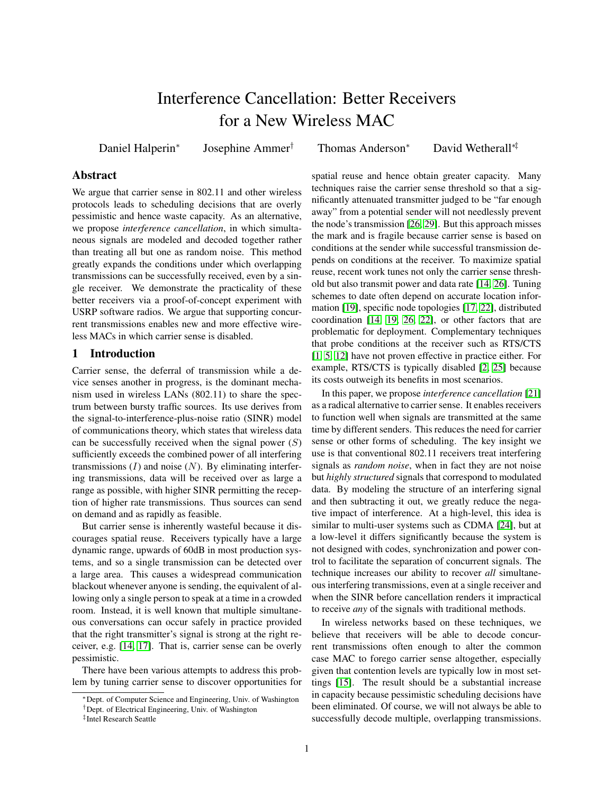# Interference Cancellation: Better Receivers for a New Wireless MAC

<span id="page-0-0"></span>Daniel Halperin<sup>∗</sup>

Josephine Ammer† Thomas Anderson<sup>∗</sup> David Wetherall∗‡

# **Abstract**

We argue that carrier sense in 802.11 and other wireless protocols leads to scheduling decisions that are overly pessimistic and hence waste capacity. As an alternative, we propose *interference cancellation*, in which simultaneous signals are modeled and decoded together rather than treating all but one as random noise. This method greatly expands the conditions under which overlapping transmissions can be successfully received, even by a single receiver. We demonstrate the practicality of these better receivers via a proof-of-concept experiment with USRP software radios. We argue that supporting concurrent transmissions enables new and more effective wireless MACs in which carrier sense is disabled.

## 1 Introduction

Carrier sense, the deferral of transmission while a device senses another in progress, is the dominant mechanism used in wireless LANs (802.11) to share the spectrum between bursty traffic sources. Its use derives from the signal-to-interference-plus-noise ratio (SINR) model of communications theory, which states that wireless data can be successfully received when the signal power  $(S)$ sufficiently exceeds the combined power of all interfering transmissions  $(I)$  and noise  $(N)$ . By eliminating interfering transmissions, data will be received over as large a range as possible, with higher SINR permitting the reception of higher rate transmissions. Thus sources can send on demand and as rapidly as feasible.

But carrier sense is inherently wasteful because it discourages spatial reuse. Receivers typically have a large dynamic range, upwards of 60dB in most production systems, and so a single transmission can be detected over a large area. This causes a widespread communication blackout whenever anyone is sending, the equivalent of allowing only a single person to speak at a time in a crowded room. Instead, it is well known that multiple simultaneous conversations can occur safely in practice provided that the right transmitter's signal is strong at the right receiver, e.g. [\[14,](#page-5-0) [17\]](#page-5-1). That is, carrier sense can be overly pessimistic.

There have been various attempts to address this problem by tuning carrier sense to discover opportunities for

spatial reuse and hence obtain greater capacity. Many techniques raise the carrier sense threshold so that a significantly attenuated transmitter judged to be "far enough away" from a potential sender will not needlessly prevent the node's transmission [\[26,](#page-5-2) [29\]](#page-5-3). But this approach misses the mark and is fragile because carrier sense is based on conditions at the sender while successful transmission depends on conditions at the receiver. To maximize spatial reuse, recent work tunes not only the carrier sense threshold but also transmit power and data rate [\[14,](#page-5-0) [26\]](#page-5-2). Tuning schemes to date often depend on accurate location information [\[19\]](#page-5-4), specific node topologies [\[17,](#page-5-1) [22\]](#page-5-5), distributed coordination [\[14,](#page-5-0) [19,](#page-5-4) [26,](#page-5-2) [22\]](#page-5-5), or other factors that are problematic for deployment. Complementary techniques that probe conditions at the receiver such as RTS/CTS [\[1,](#page-5-6) [5,](#page-5-7) [12\]](#page-5-8) have not proven effective in practice either. For example, RTS/CTS is typically disabled [\[2,](#page-5-9) [25\]](#page-5-10) because its costs outweigh its benefits in most scenarios.

In this paper, we propose *interference cancellation* [\[21\]](#page-5-11) as a radical alternative to carrier sense. It enables receivers to function well when signals are transmitted at the same time by different senders. This reduces the need for carrier sense or other forms of scheduling. The key insight we use is that conventional 802.11 receivers treat interfering signals as *random noise*, when in fact they are not noise but *highly structured* signals that correspond to modulated data. By modeling the structure of an interfering signal and then subtracting it out, we greatly reduce the negative impact of interference. At a high-level, this idea is similar to multi-user systems such as CDMA [\[24\]](#page-5-12), but at a low-level it differs significantly because the system is not designed with codes, synchronization and power control to facilitate the separation of concurrent signals. The technique increases our ability to recover *all* simultaneous interfering transmissions, even at a single receiver and when the SINR before cancellation renders it impractical to receive *any* of the signals with traditional methods.

In wireless networks based on these techniques, we believe that receivers will be able to decode concurrent transmissions often enough to alter the common case MAC to forego carrier sense altogether, especially given that contention levels are typically low in most settings [\[15\]](#page-5-13). The result should be a substantial increase in capacity because pessimistic scheduling decisions have been eliminated. Of course, we will not always be able to successfully decode multiple, overlapping transmissions.

<sup>∗</sup>Dept. of Computer Science and Engineering, Univ. of Washington

<sup>†</sup>Dept. of Electrical Engineering, Univ. of Washington

<sup>‡</sup> Intel Research Seattle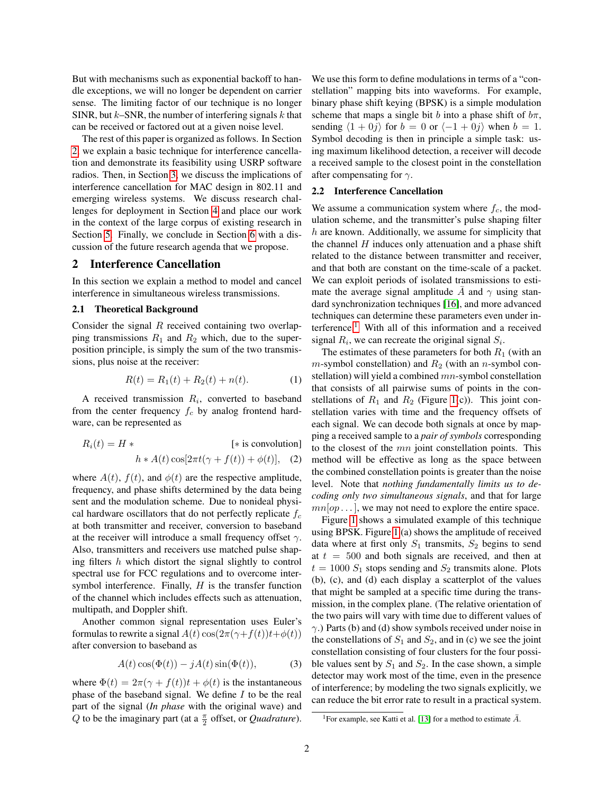But with mechanisms such as exponential backoff to handle exceptions, we will no longer be dependent on carrier sense. The limiting factor of our technique is no longer SINR, but  $k$ –SNR, the number of interfering signals  $k$  that can be received or factored out at a given noise level.

The rest of this paper is organized as follows. In Section [2,](#page-1-0) we explain a basic technique for interference cancellation and demonstrate its feasibility using USRP software radios. Then, in Section [3,](#page-3-0) we discuss the implications of interference cancellation for MAC design in 802.11 and emerging wireless systems. We discuss research challenges for deployment in Section [4](#page-4-0) and place our work in the context of the large corpus of existing research in Section [5.](#page-4-1) Finally, we conclude in Section [6](#page-5-14) with a discussion of the future research agenda that we propose.

## <span id="page-1-0"></span>2 Interference Cancellation

In this section we explain a method to model and cancel interference in simultaneous wireless transmissions.

### 2.1 Theoretical Background

Consider the signal  $R$  received containing two overlapping transmissions  $R_1$  and  $R_2$  which, due to the superposition principle, is simply the sum of the two transmissions, plus noise at the receiver:

$$
R(t) = R_1(t) + R_2(t) + n(t).
$$
 (1)

A received transmission  $R_i$ , converted to baseband from the center frequency  $f_c$  by analog frontend hardware, can be represented as

$$
R_i(t) = H * \qquad \qquad [\text{* is convolution}]
$$
  

$$
h * A(t) \cos[2\pi t(\gamma + f(t)) + \phi(t)], \quad (2)
$$

where  $A(t)$ ,  $f(t)$ , and  $\phi(t)$  are the respective amplitude, frequency, and phase shifts determined by the data being sent and the modulation scheme. Due to nonideal physical hardware oscillators that do not perfectly replicate  $f_c$ at both transmitter and receiver, conversion to baseband at the receiver will introduce a small frequency offset  $\gamma$ . Also, transmitters and receivers use matched pulse shaping filters  $h$  which distort the signal slightly to control spectral use for FCC regulations and to overcome intersymbol interference. Finally,  $H$  is the transfer function of the channel which includes effects such as attenuation, multipath, and Doppler shift.

Another common signal representation uses Euler's formulas to rewrite a signal  $A(t) \cos(2\pi(\gamma + f(t))t + \phi(t))$ after conversion to baseband as

$$
A(t)\cos(\Phi(t)) - jA(t)\sin(\Phi(t)), \tag{3}
$$

where  $\Phi(t) = 2\pi(\gamma + f(t))t + \phi(t)$  is the instantaneous phase of the baseband signal. We define  $I$  to be the real part of the signal (*In phase* with the original wave) and  $Q$  to be the imaginary part (at a  $\frac{\pi}{2}$  offset, or *Quadrature*).

We use this form to define modulations in terms of a "constellation" mapping bits into waveforms. For example, binary phase shift keying (BPSK) is a simple modulation scheme that maps a single bit b into a phase shift of  $b\pi$ , sending  $\langle 1 + 0j \rangle$  for  $b = 0$  or  $\langle -1 + 0j \rangle$  when  $b = 1$ . Symbol decoding is then in principle a simple task: using maximum likelihood detection, a receiver will decode a received sample to the closest point in the constellation after compensating for  $\gamma$ .

## 2.2 Interference Cancellation

We assume a communication system where  $f_c$ , the modulation scheme, and the transmitter's pulse shaping filter h are known. Additionally, we assume for simplicity that the channel  $H$  induces only attenuation and a phase shift related to the distance between transmitter and receiver, and that both are constant on the time-scale of a packet. We can exploit periods of isolated transmissions to estimate the average signal amplitude A and  $\gamma$  using standard synchronization techniques [\[16\]](#page-5-15), and more advanced techniques can determine these parameters even under in-terference.<sup>[1](#page-0-0)</sup> With all of this information and a received signal  $R_i$ , we can recreate the original signal  $S_i$ .

The estimates of these parameters for both  $R_1$  (with an  $m$ -symbol constellation) and  $R_2$  (with an n-symbol constellation) will yield a combined mn-symbol constellation that consists of all pairwise sums of points in the constellations of  $R_1$  and  $R_2$  (Figure [1\(](#page-2-0)c)). This joint constellation varies with time and the frequency offsets of each signal. We can decode both signals at once by mapping a received sample to a *pair of symbols* corresponding to the closest of the mn joint constellation points. This method will be effective as long as the space between the combined constellation points is greater than the noise level. Note that *nothing fundamentally limits us to decoding only two simultaneous signals*, and that for large  $mn[op...]$ , we may not need to explore the entire space.

Figure [1](#page-2-0) shows a simulated example of this technique using BPSK. Figure [1](#page-2-0) (a) shows the amplitude of received data where at first only  $S_1$  transmits,  $S_2$  begins to send at  $t = 500$  and both signals are received, and then at  $t = 1000 S_1$  stops sending and  $S_2$  transmits alone. Plots (b), (c), and (d) each display a scatterplot of the values that might be sampled at a specific time during the transmission, in the complex plane. (The relative orientation of the two pairs will vary with time due to different values of  $\gamma$ .) Parts (b) and (d) show symbols received under noise in the constellations of  $S_1$  and  $S_2$ , and in (c) we see the joint constellation consisting of four clusters for the four possible values sent by  $S_1$  and  $S_2$ . In the case shown, a simple detector may work most of the time, even in the presence of interference; by modeling the two signals explicitly, we can reduce the bit error rate to result in a practical system.

<sup>&</sup>lt;sup>1</sup>For example, see Katti et al. [\[13\]](#page-5-16) for a method to estimate  $\overline{A}$ .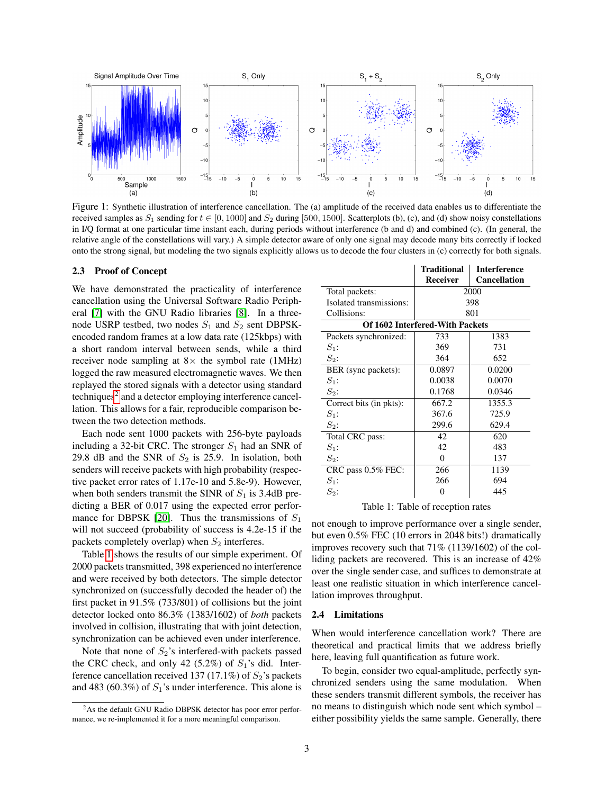

<span id="page-2-0"></span>Figure 1: Synthetic illustration of interference cancellation. The (a) amplitude of the received data enables us to differentiate the received samples as  $S_1$  sending for  $t \in [0, 1000]$  and  $S_2$  during [500, 1500]. Scatterplots (b), (c), and (d) show noisy constellations in I/Q format at one particular time instant each, during periods without interference (b and d) and combined (c). (In general, the relative angle of the constellations will vary.) A simple detector aware of only one signal may decode many bits correctly if locked onto the strong signal, but modeling the two signals explicitly allows us to decode the four clusters in (c) correctly for both signals.

#### 2.3 Proof of Concept

We have demonstrated the practicality of interference cancellation using the Universal Software Radio Peripheral [\[7\]](#page-5-17) with the GNU Radio libraries [\[8\]](#page-5-18). In a threenode USRP testbed, two nodes  $S_1$  and  $S_2$  sent DBPSKencoded random frames at a low data rate (125kbps) with a short random interval between sends, while a third receiver node sampling at  $8 \times$  the symbol rate (1MHz) logged the raw measured electromagnetic waves. We then replayed the stored signals with a detector using standard techniques<sup>[2](#page-0-0)</sup> and a detector employing interference cancellation. This allows for a fair, reproducible comparison between the two detection methods.

Each node sent 1000 packets with 256-byte payloads including a 32-bit CRC. The stronger  $S_1$  had an SNR of 29.8 dB and the SNR of  $S_2$  is 25.9. In isolation, both senders will receive packets with high probability (respective packet error rates of 1.17e-10 and 5.8e-9). However, when both senders transmit the SINR of  $S_1$  is 3.4dB predicting a BER of 0.017 using the expected error perfor-mance for DBPSK [\[20\]](#page-5-19). Thus the transmissions of  $S_1$ will not succeed (probability of success is 4.2e-15 if the packets completely overlap) when  $S_2$  interferes.

Table [1](#page-2-1) shows the results of our simple experiment. Of 2000 packets transmitted, 398 experienced no interference and were received by both detectors. The simple detector synchronized on (successfully decoded the header of) the first packet in 91.5% (733/801) of collisions but the joint detector locked onto 86.3% (1383/1602) of *both* packets involved in collision, illustrating that with joint detection, synchronization can be achieved even under interference.

Note that none of  $S_2$ 's interfered-with packets passed the CRC check, and only 42 (5.2%) of  $S_1$ 's did. Interference cancellation received 137 (17.1%) of  $S_2$ 's packets and 483 (60.3%) of  $S_1$ 's under interference. This alone is

|                                 | Traditional | <b>Interference</b> |
|---------------------------------|-------------|---------------------|
|                                 | Receiver    | <b>Cancellation</b> |
| Total packets:                  | 2000        |                     |
| Isolated transmissions:         | 398         |                     |
| Collisions:                     | 801         |                     |
| Of 1602 Interfered-With Packets |             |                     |
| Packets synchronized:           | 733         | 1383                |
| $S_1$ :                         | 369         | 731                 |
| $S_2$ :                         | 364         | 652                 |
| BER (sync packets):             | 0.0897      | 0.0200              |
| $S_1$ :                         | 0.0038      | 0.0070              |
| $S_2$ :                         | 0.1768      | 0.0346              |
| Correct bits (in pkts):         | 667.2       | 1355.3              |
| $S_1$ :                         | 367.6       | 725.9               |
| $S_2$ :                         | 299.6       | 629.4               |
| Total CRC pass:                 | 42          | 620                 |
| $S_1$ :                         | 42          | 483                 |
| $S_2$ :                         | $\Omega$    | 137                 |
| CRC pass 0.5% FEC:              | 266         | 1139                |
| $S_1$ :                         | 266         | 694                 |
| $S_2$ :                         | 0           | 445                 |

<span id="page-2-1"></span>Table 1: Table of reception rates

not enough to improve performance over a single sender, but even 0.5% FEC (10 errors in 2048 bits!) dramatically improves recovery such that 71% (1139/1602) of the colliding packets are recovered. This is an increase of 42% over the single sender case, and suffices to demonstrate at least one realistic situation in which interference cancellation improves throughput.

### 2.4 Limitations

When would interference cancellation work? There are theoretical and practical limits that we address briefly here, leaving full quantification as future work.

To begin, consider two equal-amplitude, perfectly synchronized senders using the same modulation. When these senders transmit different symbols, the receiver has no means to distinguish which node sent which symbol – either possibility yields the same sample. Generally, there

<sup>&</sup>lt;sup>2</sup>As the default GNU Radio DBPSK detector has poor error performance, we re-implemented it for a more meaningful comparison.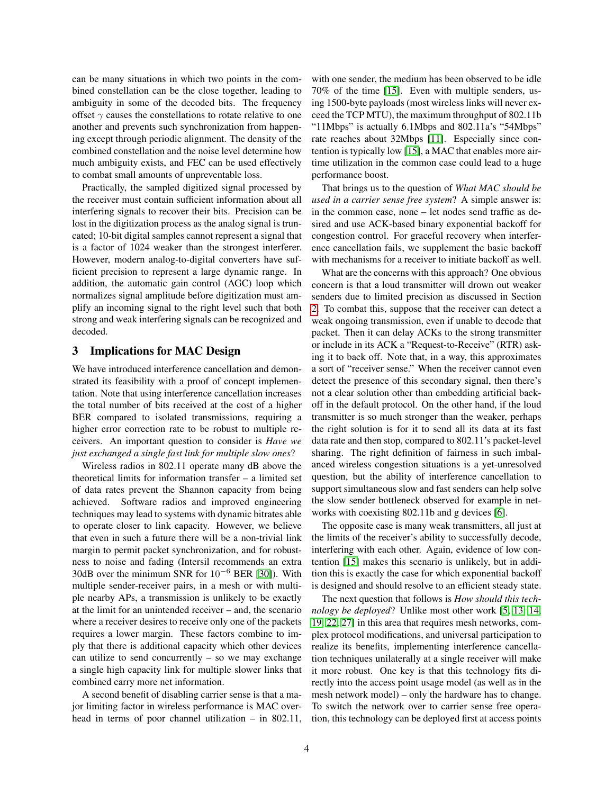can be many situations in which two points in the combined constellation can be the close together, leading to ambiguity in some of the decoded bits. The frequency offset  $\gamma$  causes the constellations to rotate relative to one another and prevents such synchronization from happening except through periodic alignment. The density of the combined constellation and the noise level determine how much ambiguity exists, and FEC can be used effectively to combat small amounts of unpreventable loss.

Practically, the sampled digitized signal processed by the receiver must contain sufficient information about all interfering signals to recover their bits. Precision can be lost in the digitization process as the analog signal is truncated; 10-bit digital samples cannot represent a signal that is a factor of 1024 weaker than the strongest interferer. However, modern analog-to-digital converters have sufficient precision to represent a large dynamic range. In addition, the automatic gain control (AGC) loop which normalizes signal amplitude before digitization must amplify an incoming signal to the right level such that both strong and weak interfering signals can be recognized and decoded.

## <span id="page-3-0"></span>3 Implications for MAC Design

We have introduced interference cancellation and demonstrated its feasibility with a proof of concept implementation. Note that using interference cancellation increases the total number of bits received at the cost of a higher BER compared to isolated transmissions, requiring a higher error correction rate to be robust to multiple receivers. An important question to consider is *Have we just exchanged a single fast link for multiple slow ones*?

Wireless radios in 802.11 operate many dB above the theoretical limits for information transfer – a limited set of data rates prevent the Shannon capacity from being achieved. Software radios and improved engineering techniques may lead to systems with dynamic bitrates able to operate closer to link capacity. However, we believe that even in such a future there will be a non-trivial link margin to permit packet synchronization, and for robustness to noise and fading (Intersil recommends an extra 30dB over the minimum SNR for  $10^{-6}$  BER [\[30\]](#page-5-20)). With multiple sender-receiver pairs, in a mesh or with multiple nearby APs, a transmission is unlikely to be exactly at the limit for an unintended receiver – and, the scenario where a receiver desires to receive only one of the packets requires a lower margin. These factors combine to imply that there is additional capacity which other devices can utilize to send concurrently  $-$  so we may exchange a single high capacity link for multiple slower links that combined carry more net information.

A second benefit of disabling carrier sense is that a major limiting factor in wireless performance is MAC overhead in terms of poor channel utilization – in 802.11, with one sender, the medium has been observed to be idle 70% of the time [\[15\]](#page-5-13). Even with multiple senders, using 1500-byte payloads (most wireless links will never exceed the TCP MTU), the maximum throughput of 802.11b "11Mbps" is actually 6.1Mbps and 802.11a's "54Mbps" rate reaches about 32Mbps [\[11\]](#page-5-21). Especially since contention is typically low [\[15\]](#page-5-13), a MAC that enables more airtime utilization in the common case could lead to a huge performance boost.

That brings us to the question of *What MAC should be used in a carrier sense free system*? A simple answer is: in the common case, none – let nodes send traffic as desired and use ACK-based binary exponential backoff for congestion control. For graceful recovery when interference cancellation fails, we supplement the basic backoff with mechanisms for a receiver to initiate backoff as well.

What are the concerns with this approach? One obvious concern is that a loud transmitter will drown out weaker senders due to limited precision as discussed in Section [2.](#page-1-0) To combat this, suppose that the receiver can detect a weak ongoing transmission, even if unable to decode that packet. Then it can delay ACKs to the strong transmitter or include in its ACK a "Request-to-Receive" (RTR) asking it to back off. Note that, in a way, this approximates a sort of "receiver sense." When the receiver cannot even detect the presence of this secondary signal, then there's not a clear solution other than embedding artificial backoff in the default protocol. On the other hand, if the loud transmitter is so much stronger than the weaker, perhaps the right solution is for it to send all its data at its fast data rate and then stop, compared to 802.11's packet-level sharing. The right definition of fairness in such imbalanced wireless congestion situations is a yet-unresolved question, but the ability of interference cancellation to support simultaneous slow and fast senders can help solve the slow sender bottleneck observed for example in networks with coexisting 802.11b and g devices [\[6\]](#page-5-22).

The opposite case is many weak transmitters, all just at the limits of the receiver's ability to successfully decode, interfering with each other. Again, evidence of low contention [\[15\]](#page-5-13) makes this scenario is unlikely, but in addition this is exactly the case for which exponential backoff is designed and should resolve to an efficient steady state.

The next question that follows is *How should this technology be deployed*? Unlike most other work [\[5,](#page-5-7) [13,](#page-5-16) [14,](#page-5-0) [19,](#page-5-4) [22,](#page-5-5) [27\]](#page-5-23) in this area that requires mesh networks, complex protocol modifications, and universal participation to realize its benefits, implementing interference cancellation techniques unilaterally at a single receiver will make it more robust. One key is that this technology fits directly into the access point usage model (as well as in the mesh network model) – only the hardware has to change. To switch the network over to carrier sense free operation, this technology can be deployed first at access points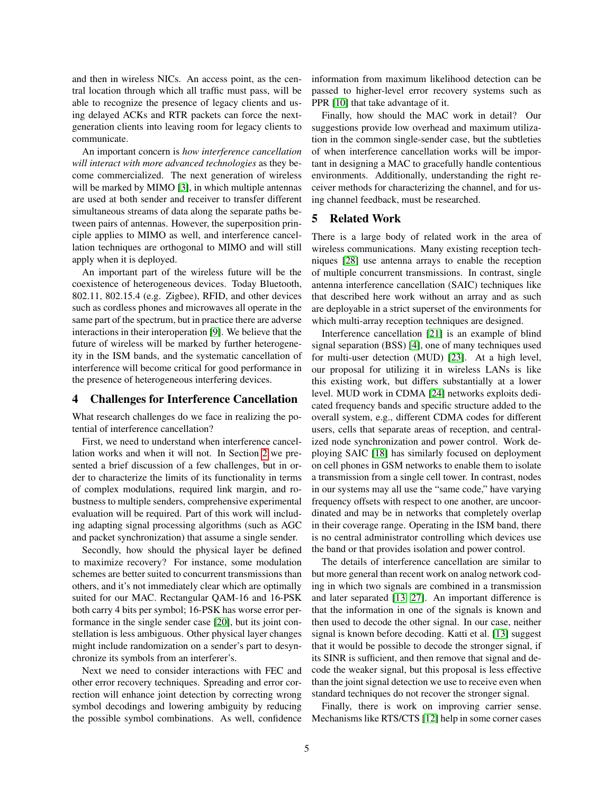and then in wireless NICs. An access point, as the central location through which all traffic must pass, will be able to recognize the presence of legacy clients and using delayed ACKs and RTR packets can force the nextgeneration clients into leaving room for legacy clients to communicate.

An important concern is *how interference cancellation will interact with more advanced technologies* as they become commercialized. The next generation of wireless will be marked by MIMO [\[3\]](#page-5-24), in which multiple antennas are used at both sender and receiver to transfer different simultaneous streams of data along the separate paths between pairs of antennas. However, the superposition principle applies to MIMO as well, and interference cancellation techniques are orthogonal to MIMO and will still apply when it is deployed.

An important part of the wireless future will be the coexistence of heterogeneous devices. Today Bluetooth, 802.11, 802.15.4 (e.g. Zigbee), RFID, and other devices such as cordless phones and microwaves all operate in the same part of the spectrum, but in practice there are adverse interactions in their interoperation [\[9\]](#page-5-25). We believe that the future of wireless will be marked by further heterogeneity in the ISM bands, and the systematic cancellation of interference will become critical for good performance in the presence of heterogeneous interfering devices.

#### <span id="page-4-0"></span>4 Challenges for Interference Cancellation

What research challenges do we face in realizing the potential of interference cancellation?

First, we need to understand when interference cancellation works and when it will not. In Section [2](#page-1-0) we presented a brief discussion of a few challenges, but in order to characterize the limits of its functionality in terms of complex modulations, required link margin, and robustness to multiple senders, comprehensive experimental evaluation will be required. Part of this work will including adapting signal processing algorithms (such as AGC and packet synchronization) that assume a single sender.

Secondly, how should the physical layer be defined to maximize recovery? For instance, some modulation schemes are better suited to concurrent transmissions than others, and it's not immediately clear which are optimally suited for our MAC. Rectangular QAM-16 and 16-PSK both carry 4 bits per symbol; 16-PSK has worse error performance in the single sender case [\[20\]](#page-5-19), but its joint constellation is less ambiguous. Other physical layer changes might include randomization on a sender's part to desynchronize its symbols from an interferer's.

Next we need to consider interactions with FEC and other error recovery techniques. Spreading and error correction will enhance joint detection by correcting wrong symbol decodings and lowering ambiguity by reducing the possible symbol combinations. As well, confidence information from maximum likelihood detection can be passed to higher-level error recovery systems such as PPR [\[10\]](#page-5-26) that take advantage of it.

Finally, how should the MAC work in detail? Our suggestions provide low overhead and maximum utilization in the common single-sender case, but the subtleties of when interference cancellation works will be important in designing a MAC to gracefully handle contentious environments. Additionally, understanding the right receiver methods for characterizing the channel, and for using channel feedback, must be researched.

### <span id="page-4-1"></span>5 Related Work

There is a large body of related work in the area of wireless communications. Many existing reception techniques [\[28\]](#page-5-27) use antenna arrays to enable the reception of multiple concurrent transmissions. In contrast, single antenna interference cancellation (SAIC) techniques like that described here work without an array and as such are deployable in a strict superset of the environments for which multi-array reception techniques are designed.

Interference cancellation [\[21\]](#page-5-11) is an example of blind signal separation (BSS) [\[4\]](#page-5-28), one of many techniques used for multi-user detection (MUD) [\[23\]](#page-5-29). At a high level, our proposal for utilizing it in wireless LANs is like this existing work, but differs substantially at a lower level. MUD work in CDMA [\[24\]](#page-5-12) networks exploits dedicated frequency bands and specific structure added to the overall system, e.g., different CDMA codes for different users, cells that separate areas of reception, and centralized node synchronization and power control. Work deploying SAIC [\[18\]](#page-5-30) has similarly focused on deployment on cell phones in GSM networks to enable them to isolate a transmission from a single cell tower. In contrast, nodes in our systems may all use the "same code," have varying frequency offsets with respect to one another, are uncoordinated and may be in networks that completely overlap in their coverage range. Operating in the ISM band, there is no central administrator controlling which devices use the band or that provides isolation and power control.

The details of interference cancellation are similar to but more general than recent work on analog network coding in which two signals are combined in a transmission and later separated [\[13,](#page-5-16) [27\]](#page-5-23). An important difference is that the information in one of the signals is known and then used to decode the other signal. In our case, neither signal is known before decoding. Katti et al. [\[13\]](#page-5-16) suggest that it would be possible to decode the stronger signal, if its SINR is sufficient, and then remove that signal and decode the weaker signal, but this proposal is less effective than the joint signal detection we use to receive even when standard techniques do not recover the stronger signal.

Finally, there is work on improving carrier sense. Mechanisms like RTS/CTS [\[12\]](#page-5-8) help in some corner cases